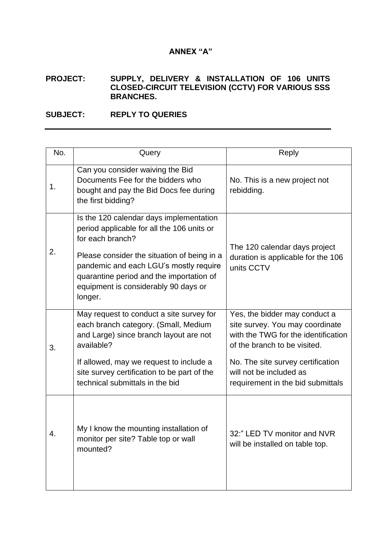## **ANNEX "A"**

## **PROJECT: SUPPLY, DELIVERY & INSTALLATION OF 106 UNITS CLOSED-CIRCUIT TELEVISION (CCTV) FOR VARIOUS SSS BRANCHES.**

## **SUBJECT: REPLY TO QUERIES**

| No. | Query                                                                                                                                                                                                                                                                                             | Reply                                                                                                                                                                                                                                        |
|-----|---------------------------------------------------------------------------------------------------------------------------------------------------------------------------------------------------------------------------------------------------------------------------------------------------|----------------------------------------------------------------------------------------------------------------------------------------------------------------------------------------------------------------------------------------------|
| 1.  | Can you consider waiving the Bid<br>Documents Fee for the bidders who<br>bought and pay the Bid Docs fee during<br>the first bidding?                                                                                                                                                             | No. This is a new project not<br>rebidding.                                                                                                                                                                                                  |
| 2.  | Is the 120 calendar days implementation<br>period applicable for all the 106 units or<br>for each branch?<br>Please consider the situation of being in a<br>pandemic and each LGU's mostly require<br>quarantine period and the importation of<br>equipment is considerably 90 days or<br>longer. | The 120 calendar days project<br>duration is applicable for the 106<br>units CCTV                                                                                                                                                            |
| 3.  | May request to conduct a site survey for<br>each branch category. (Small, Medium<br>and Large) since branch layout are not<br>available?<br>If allowed, may we request to include a<br>site survey certification to be part of the<br>technical submittals in the bid                             | Yes, the bidder may conduct a<br>site survey. You may coordinate<br>with the TWG for the identification<br>of the branch to be visited.<br>No. The site survey certification<br>will not be included as<br>requirement in the bid submittals |
| 4.  | My I know the mounting installation of<br>monitor per site? Table top or wall<br>mounted?                                                                                                                                                                                                         | 32:" LED TV monitor and NVR<br>will be installed on table top.                                                                                                                                                                               |